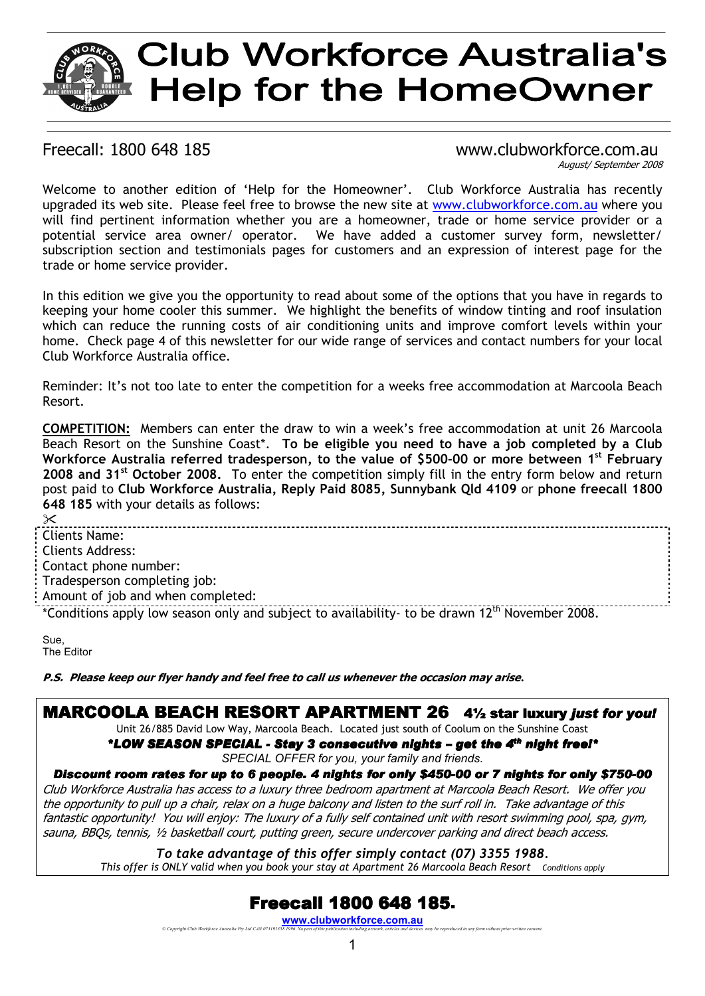# **Club Workforce Australia's Help for the HomeOwner**

#### Freecall: 1800 648 185 www.clubworkforce.com.au August/ September 2008

Welcome to another edition of 'Help for the Homeowner'. Club Workforce Australia has recently upgraded its web site. Please feel free to browse the new site at www.clubworkforce.com.au where you will find pertinent information whether you are a homeowner, trade or home service provider or a potential service area owner/ operator. We have added a customer survey form, newsletter/ subscription section and testimonials pages for customers and an expression of interest page for the trade or home service provider.

In this edition we give you the opportunity to read about some of the options that you have in regards to keeping your home cooler this summer. We highlight the benefits of window tinting and roof insulation which can reduce the running costs of air conditioning units and improve comfort levels within your home. Check page 4 of this newsletter for our wide range of services and contact numbers for your local Club Workforce Australia office.

Reminder: It's not too late to enter the competition for a weeks free accommodation at Marcoola Beach Resort.

**COMPETITION:** Members can enter the draw to win a week's free accommodation at unit 26 Marcoola Beach Resort on the Sunshine Coast\*. **To be eligible you need to have a job completed by a Club Workforce Australia referred tradesperson, to the value of \$500-00 or more between 1st February 2008 and 31st October 2008.** To enter the competition simply fill in the entry form below and return post paid to **Club Workforce Australia, Reply Paid 8085, Sunnybank Qld 4109** or **phone freecall 1800 648 185** with your details as follows:

 $\overline{\times}$ Clients Name: Clients Address: Contact phone number: Tradesperson completing job: Amount of job and when completed: \*Conditions apply low season only and subject to availability- to be drawn 12th November 2008.

Sue, The Editor

**P.S. Please keep our flyer handy and feel free to call us whenever the occasion may arise***.* 

## MARCOOLA BEACH RESORT APARTMENT 264½ star luxury *just for you!*

Unit 26/885 David Low Way, Marcoola Beach. Located just south of Coolum on the Sunshine Coast

*\*LOW SEASON SPECIAL - SEASON SPECIAL - Stay 3 consecutive nights Stay nights – get the 4 t th night free!\* SPECIAL OFFER for you, your family and friends.* 

#### *Discount room rates for up to 6 people. 4 nights for only \$450-00 or 7 nights for only \$750-00*

Club Workforce Australia has access to a luxury three bedroom apartment at Marcoola Beach Resort. We offer you the opportunity to pull up a chair, relax on a huge balcony and listen to the surf roll in. Take advantage of this fantastic opportunity! You will enjoy: The luxury of a fully self contained unit with resort swimming pool, spa, gym, sauna, BBQs, tennis, ½ basketball court, putting green, secure undercover parking and direct beach access.

*To take advantage of this offer simply contact (07) 3355 1988. This offer is ONLY valid when you book your stay at Apartment 26 Marcoola Beach Resort Conditions apply*

## **Freecall 1800 648 185.**

**www.clubworkforce.com.au** *© Copyright Club Workforce Australia Pty Ltd CAN 073191358 1996. No part of this publication including artwork, articles and devices may be reproduced in any form without prior written consent.*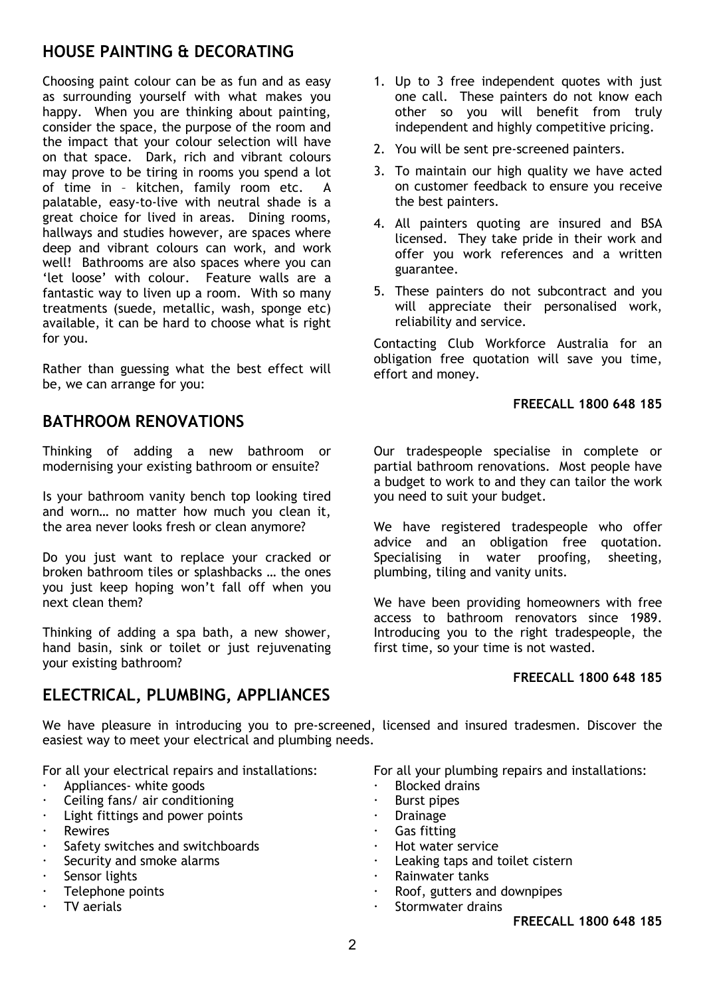## **HOUSE PAINTING & DECORATING**

Choosing paint colour can be as fun and as easy as surrounding yourself with what makes you happy. When you are thinking about painting, consider the space, the purpose of the room and the impact that your colour selection will have on that space. Dark, rich and vibrant colours may prove to be tiring in rooms you spend a lot of time in – kitchen, family room etc. A palatable, easy-to-live with neutral shade is a great choice for lived in areas. Dining rooms, hallways and studies however, are spaces where deep and vibrant colours can work, and work well! Bathrooms are also spaces where you can 'let loose' with colour. Feature walls are a fantastic way to liven up a room. With so many treatments (suede, metallic, wash, sponge etc) available, it can be hard to choose what is right for you.

Rather than guessing what the best effect will be, we can arrange for you:

## **BATHROOM RENOVATIONS**

Thinking of adding a new bathroom or modernising your existing bathroom or ensuite?

Is your bathroom vanity bench top looking tired and worn… no matter how much you clean it, the area never looks fresh or clean anymore?

Do you just want to replace your cracked or broken bathroom tiles or splashbacks … the ones you just keep hoping won't fall off when you next clean them?

Thinking of adding a spa bath, a new shower, hand basin, sink or toilet or just rejuvenating your existing bathroom?

## **ELECTRICAL, PLUMBING, APPLIANCES**

- 1. Up to 3 free independent quotes with just one call. These painters do not know each other so you will benefit from truly independent and highly competitive pricing.
- 2. You will be sent pre-screened painters.
- 3. To maintain our high quality we have acted on customer feedback to ensure you receive the best painters.
- 4. All painters quoting are insured and BSA licensed. They take pride in their work and offer you work references and a written guarantee.
- 5. These painters do not subcontract and you will appreciate their personalised work, reliability and service.

Contacting Club Workforce Australia for an obligation free quotation will save you time, effort and money.

#### **FREECALL 1800 648 185**

Our tradespeople specialise in complete or partial bathroom renovations. Most people have a budget to work to and they can tailor the work you need to suit your budget.

We have registered tradespeople who offer advice and an obligation free quotation. Specialising in water proofing, sheeting, plumbing, tiling and vanity units.

We have been providing homeowners with free access to bathroom renovators since 1989. Introducing you to the right tradespeople, the first time, so your time is not wasted.

#### **FREECALL 1800 648 185**

We have pleasure in introducing you to pre-screened, licensed and insured tradesmen. Discover the easiest way to meet your electrical and plumbing needs.

For all your electrical repairs and installations:

- -Appliances- white goods
- -Ceiling fans/ air conditioning
- -Light fittings and power points
- -Rewires
- -Safety switches and switchboards
- -Security and smoke alarms
- -Sensor lights
- -Telephone points
- -TV aerials

For all your plumbing repairs and installations:

- -Blocked drains
- -Burst pipes
- -Drainage
- -Gas fitting
- -Hot water service
- -Leaking taps and toilet cistern
- -Rainwater tanks
- -Roof, gutters and downpipes
- -Stormwater drains